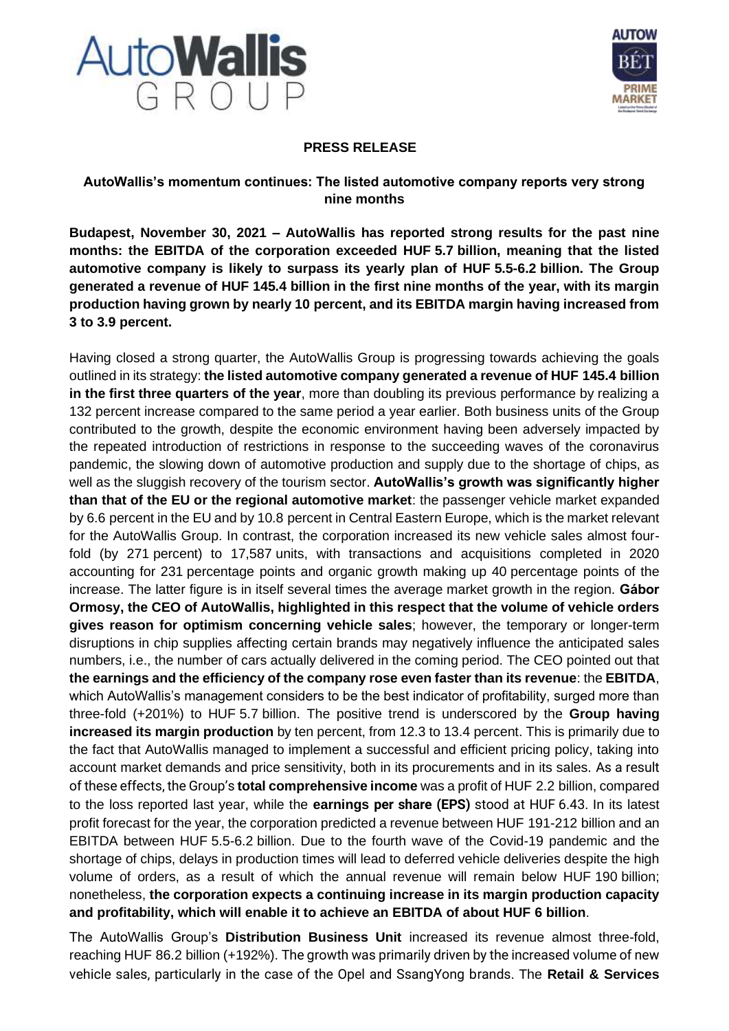



## **PRESS RELEASE**

## **AutoWallis's momentum continues: The listed automotive company reports very strong nine months**

**Budapest, November 30, 2021 – AutoWallis has reported strong results for the past nine months: the EBITDA of the corporation exceeded HUF 5.7 billion, meaning that the listed automotive company is likely to surpass its yearly plan of HUF 5.5-6.2 billion. The Group generated a revenue of HUF 145.4 billion in the first nine months of the year, with its margin production having grown by nearly 10 percent, and its EBITDA margin having increased from 3 to 3.9 percent.**

Having closed a strong quarter, the AutoWallis Group is progressing towards achieving the goals outlined in its strategy: **the listed automotive company generated a revenue of HUF 145.4 billion in the first three quarters of the year**, more than doubling its previous performance by realizing a 132 percent increase compared to the same period a year earlier. Both business units of the Group contributed to the growth, despite the economic environment having been adversely impacted by the repeated introduction of restrictions in response to the succeeding waves of the coronavirus pandemic, the slowing down of automotive production and supply due to the shortage of chips, as well as the sluggish recovery of the tourism sector. **AutoWallis's growth was significantly higher than that of the EU or the regional automotive market**: the passenger vehicle market expanded by 6.6 percent in the EU and by 10.8 percent in Central Eastern Europe, which is the market relevant for the AutoWallis Group. In contrast, the corporation increased its new vehicle sales almost fourfold (by 271 percent) to 17,587 units, with transactions and acquisitions completed in 2020 accounting for 231 percentage points and organic growth making up 40 percentage points of the increase. The latter figure is in itself several times the average market growth in the region. **Gábor Ormosy, the CEO of AutoWallis, highlighted in this respect that the volume of vehicle orders gives reason for optimism concerning vehicle sales**; however, the temporary or longer-term disruptions in chip supplies affecting certain brands may negatively influence the anticipated sales numbers, i.e., the number of cars actually delivered in the coming period. The CEO pointed out that **the earnings and the efficiency of the company rose even faster than its revenue**: the **EBITDA**, which AutoWallis's management considers to be the best indicator of profitability, surged more than three-fold (+201%) to HUF 5.7 billion. The positive trend is underscored by the **Group having increased its margin production** by ten percent, from 12.3 to 13.4 percent. This is primarily due to the fact that AutoWallis managed to implement a successful and efficient pricing policy, taking into account market demands and price sensitivity, both in its procurements and in its sales. As a result of these effects, the Group's **total comprehensive income** was a profit of HUF 2.2 billion, compared to the loss reported last year, while the **earnings per share (EPS)** stood at HUF 6.43. In its latest profit forecast for the year, the corporation predicted a revenue between HUF 191-212 billion and an EBITDA between HUF 5.5-6.2 billion. Due to the fourth wave of the Covid-19 pandemic and the shortage of chips, delays in production times will lead to deferred vehicle deliveries despite the high volume of orders, as a result of which the annual revenue will remain below HUF 190 billion; nonetheless, **the corporation expects a continuing increase in its margin production capacity and profitability, which will enable it to achieve an EBITDA of about HUF 6 billion**.

The AutoWallis Group's **Distribution Business Unit** increased its revenue almost three-fold, reaching HUF 86.2 billion (+192%). The growth was primarily driven by the increased volume of new vehicle sales, particularly in the case of the Opel and SsangYong brands. The **Retail & Services**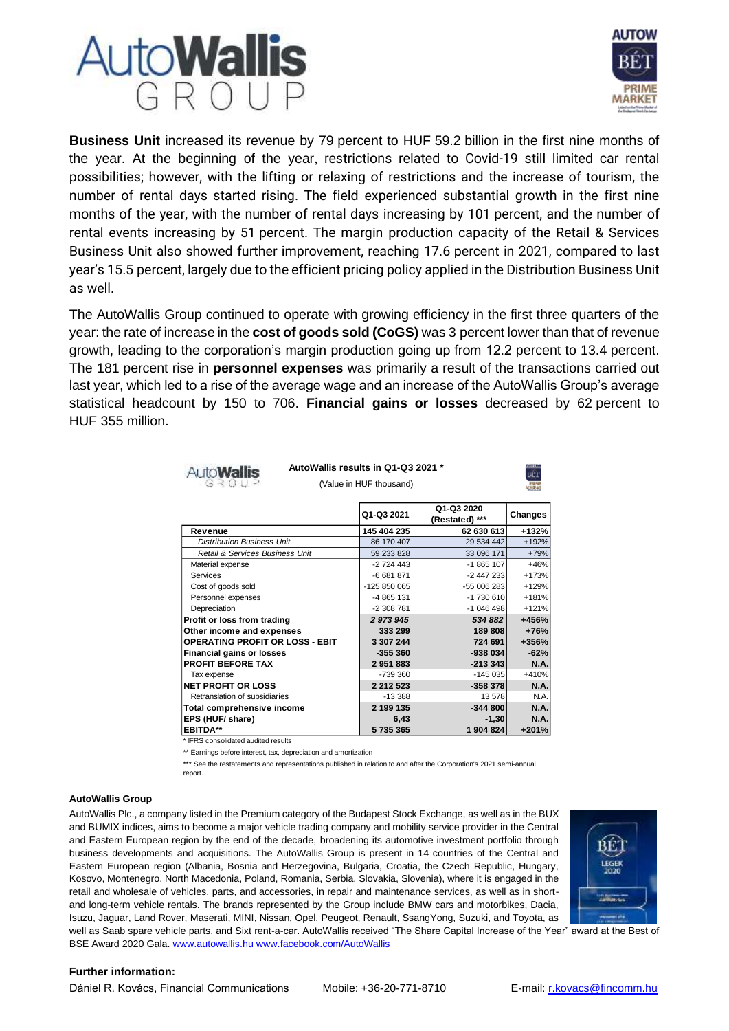



**Business Unit** increased its revenue by 79 percent to HUF 59.2 billion in the first nine months of the year. At the beginning of the year, restrictions related to Covid-19 still limited car rental possibilities; however, with the lifting or relaxing of restrictions and the increase of tourism, the number of rental days started rising. The field experienced substantial growth in the first nine months of the year, with the number of rental days increasing by 101 percent, and the number of rental events increasing by 51 percent. The margin production capacity of the Retail & Services Business Unit also showed further improvement, reaching 17.6 percent in 2021, compared to last year's 15.5 percent, largely due to the efficient pricing policy applied in the Distribution Business Unit as well.

The AutoWallis Group continued to operate with growing efficiency in the first three quarters of the year: the rate of increase in the **cost of goods sold (CoGS)** was 3 percent lower than that of revenue growth, leading to the corporation's margin production going up from 12.2 percent to 13.4 percent. The 181 percent rise in **personnel expenses** was primarily a result of the transactions carried out last year, which led to a rise of the average wage and an increase of the AutoWallis Group's average statistical headcount by 150 to 706. **Financial gains or losses** decreased by 62 percent to HUF 355 million.

| <b>AutoWallis</b> |  |  |
|-------------------|--|--|
|                   |  |  |

(Value in HUF thousand) **AutoWallis results in Q1-Q3 2021 \***



|                                        | Q1-Q3 2021    | Q1-Q3 2020<br>(Restated) *** | Changes     |
|----------------------------------------|---------------|------------------------------|-------------|
| Revenue                                | 145 404 235   | 62 630 613                   | +132%       |
| <b>Distribution Business Unit</b>      | 86 170 407    | 29 534 442                   | +192%       |
| Retail & Services Business Unit        | 59 233 828    | 33 096 171                   | +79%        |
| Material expense                       | $-2724443$    | -1 865 107                   | $+46%$      |
| <b>Services</b>                        | $-6681871$    | $-2447233$                   | +173%       |
| Cost of goods sold                     | -125 850 065  | -55 006 283                  | +129%       |
| Personnel expenses                     | -4 865 131    | -1 730 610                   | +181%       |
| Depreciation                           | $-2308781$    | -1 046 498                   | $+121%$     |
| Profit or loss from trading            | 2 973 945     | 534 882                      | +456%       |
| Other income and expenses              | 333 299       | 189 808                      | $+76%$      |
| <b>OPERATING PROFIT OR LOSS - EBIT</b> | 3 307 244     | 724 691                      | +356%       |
| <b>Financial gains or losses</b>       | $-355360$     | $-938034$                    | $-62%$      |
| <b>PROFIT BEFORE TAX</b>               | 2951883       | $-213343$                    | N.A.        |
| Tax expense                            | -739 360      | $-145035$                    | +410%       |
| <b>NET PROFIT OR LOSS</b>              | 2 2 1 2 5 2 3 | $-358378$                    | N.A.        |
| Retranslation of subsidiaries          | $-13388$      | 13 578                       | N.A.        |
| Total comprehensive income             | 2 199 135     | $-344800$                    | N.A.        |
| EPS (HUF/ share)                       | 6,43          | $-1,30$                      | <b>N.A.</b> |
| <b>EBITDA**</b>                        | 5735365       | 1904824                      | $+201%$     |

\* IFRS consolidated audited results

\*\* Earnings before interest, tax, depreciation and amortization

\*\*\* See the restatements and representations published in relation to and after the Corporation's 2021 semi-annual report.

## **AutoWallis Group**

AutoWallis Plc., a company listed in the Premium category of the Budapest Stock Exchange, as well as in the BUX and BUMIX indices, aims to become a major vehicle trading company and mobility service provider in the Central and Eastern European region by the end of the decade, broadening its automotive investment portfolio through business developments and acquisitions. The AutoWallis Group is present in 14 countries of the Central and Eastern European region (Albania, Bosnia and Herzegovina, Bulgaria, Croatia, the Czech Republic, Hungary, Kosovo, Montenegro, North Macedonia, Poland, Romania, Serbia, Slovakia, Slovenia), where it is engaged in the retail and wholesale of vehicles, parts, and accessories, in repair and maintenance services, as well as in shortand long-term vehicle rentals. The brands represented by the Group include BMW cars and motorbikes, Dacia, Isuzu, Jaguar, Land Rover, Maserati, MINI, Nissan, Opel, Peugeot, Renault, SsangYong, Suzuki, and Toyota, as



well as Saab spare vehicle parts, and Sixt rent-a-car. AutoWallis received "The Share Capital Increase of the Year" award at the Best of BSE Award 2020 Gala[. www.autowallis.hu](http://www.autowallis.hu/) [www.facebook.com/AutoWallis](http://www.facebook.com/AutoWallis)

## **Further information:**

Dániel R. Kovács, Financial Communications Mobile: +36-20-771-8710 E-mail: [r.kovacs@fincomm.hu](mailto:r.kovacs@fincomm.hu)